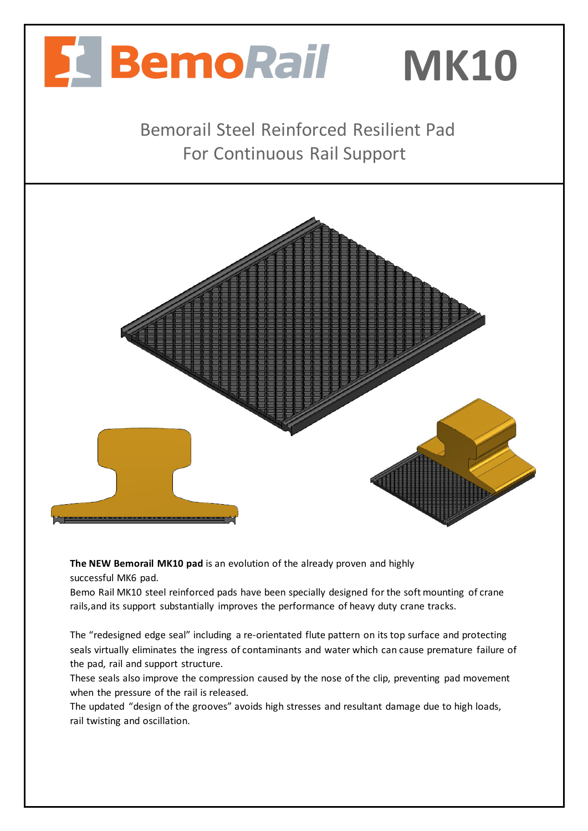

**The NEW Bemorail MK10 pad** is an evolution of the already proven and highly successful MK6 pad.

Bemo Rail MK10 steel reinforced pads have been specially designed for the soft mounting of crane rails,and its support substantially improves the performance of heavy duty crane tracks.

The "redesigned edge seal" including a re-orientated flute pattern on its top surface and protecting seals virtually eliminates the ingress of contaminants and water which can cause premature failure of the pad, rail and support structure.

These seals also improve the compression caused by the nose of the clip, preventing pad movement when the pressure of the rail is released.

The updated "design of the grooves" avoids high stresses and resultant damage due to high loads, rail twisting and oscillation.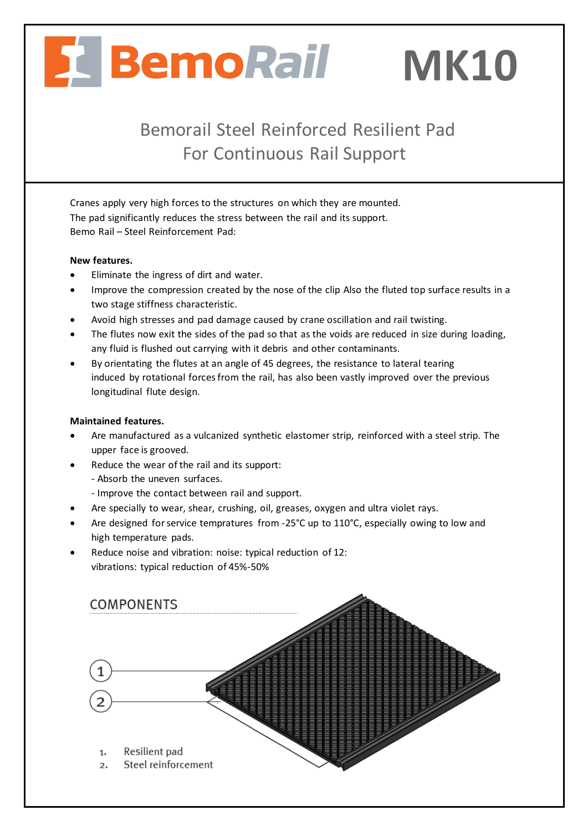# BemoRail MK10

## Bemorail Steel Reinforced Resilient Pad For Continuous Rail Support

Cranes apply very high forces to the structures on which they are mounted. The pad significantly reduces the stress between the rail and its support. Bemo Rail – Steel Reinforcement Pad:

#### **New features.**

- Eliminate the ingress of dirt and water.
- Improve the compression created by the nose of the clip Also the fluted top surface results in a two stage stiffness characteristic.
- Avoid high stresses and pad damage caused by crane oscillation and rail twisting.
- The flutes now exit the sides of the pad so that as the voids are reduced in size during loading, any fluid is flushed out carrying with it debris and other contaminants.
- By orientating the flutes at an angle of 45 degrees, the resistance to lateral tearing induced by rotational forces from the rail, has also been vastly improved over the previous longitudinal flute design.

#### **Maintained features.**

- Are manufactured as a vulcanized synthetic elastomer strip, reinforced with a steel strip. The upper face is grooved.
- Reduce the wear of the rail and its support:
	- Absorb the uneven surfaces.
	- Improve the contact between rail and support.
- Are specially to wear, shear, crushing, oil, greases, oxygen and ultra violet rays.
- Are designed for service tempratures from -25°C up to 110°C, especially owing to low and high temperature pads.
- Reduce noise and vibration: noise: typical reduction of 12: vibrations: typical reduction of 45%-50%

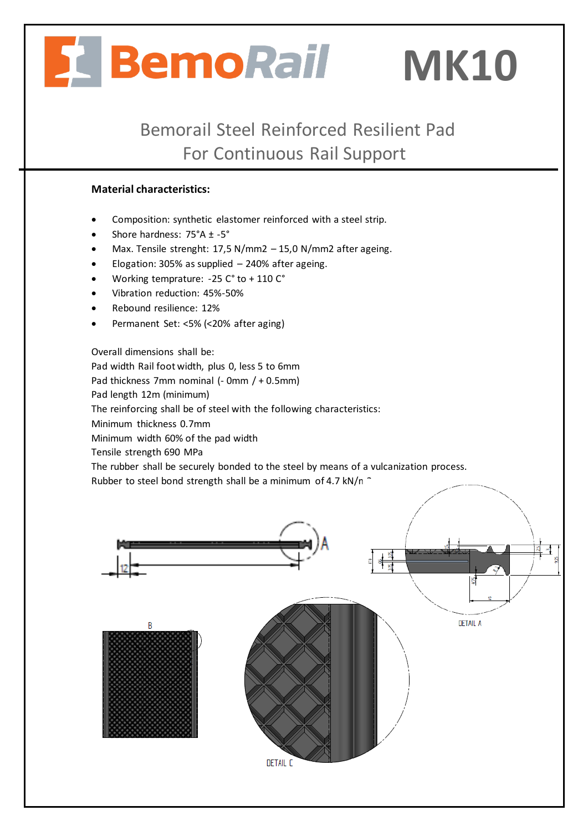# BemoRail MK10

Bemorail Steel Reinforced Resilient Pad For Continuous Rail Support

### **Material characteristics:**

- Composition: synthetic elastomer reinforced with a steel strip.
- Shore hardness: 75°A ± -5°
- Max. Tensile strenght: 17,5 N/mm2 15,0 N/mm2 after ageing.
- Elogation: 305% as supplied  $-$  240% after ageing.
- Working temprature: -25 C° to + 110 C°
- Vibration reduction: 45%-50%
- Rebound resilience: 12%
- Permanent Set: <5% (<20% after aging)

Overall dimensions shall be: Pad width Rail foot width, plus 0, less 5 to 6mm Pad thickness 7mm nominal (- 0mm / + 0.5mm) Pad length 12m (minimum) The reinforcing shall be of steel with the following characteristics: Minimum thickness 0.7mm Minimum width 60% of the pad width Tensile strength 690 MPa The rubber shall be securely bonded to the steel by means of a vulcanization process.

Rubber to steel bond strength shall be a minimum of 4.7 kN/n  $\hat{C}$